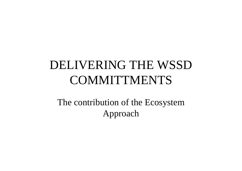# DELIVERING THE WSSD **COMMITTMENTS**

The contribution of the Ecosystem Approach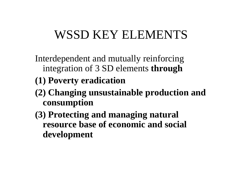## WSSD KEY ELEMENTS

Interdependent and mutually reinforcing integration of 3 SD elements **through**

#### **(1) Poverty eradication**

- **(2) Changing unsustainable production and consumption**
- **(3) Protecting and managing natural resource base of economic and social development**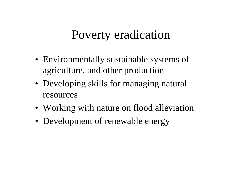### Poverty eradication

- Environmentally sustainable systems of agriculture, and other production
- Developing skills for managing natural resources
- Working with nature on flood alleviation
- Development of renewable energy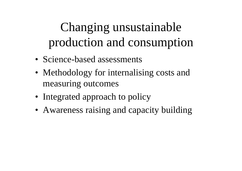# Changing unsustainable production and consumption

- Science-based assessments
- Methodology for internalising costs and measuring outcomes
- Integrated approach to policy
- Awareness raising and capacity building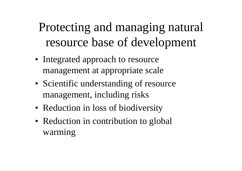# Protecting and managing natural resource base of development

- Integrated approach to resource management at appropriate scale
- Scientific understanding of resource management, including risks
- Reduction in loss of biodiversity
- Reduction in contribution to global warming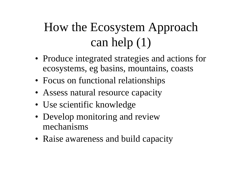# How the Ecosystem Approach can help (1)

- Produce integrated strategies and actions for ecosystems, eg basins, mountains, coasts
- Focus on functional relationships
- Assess natural resource capacity
- Use scientific knowledge
- Develop monitoring and review mechanisms
- Raise awareness and build capacity